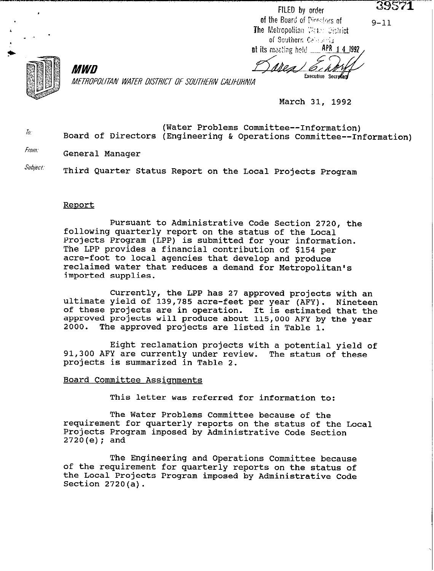$9 - 11$ 



MWD *ME7RffPOllTAN WATE,4 DISTRICT OF SOUTHERN CALIFORNIA* 

March 31, 1992

Executive Secrolary

FILED by order of the Board of Directors of

The Metropolitan Weter Statrict of Southern Calebrata at its meeting held \_\_ APR 1 4 1992

 $h^{(n)}$  Board of Directors (Engineering & Operations Committee--Information) (Water Problems Committee--Information)

*From:* General Manager

*Subject.* Third Quarter Status Report on the Local Projects Program

### Report

Pursuant to Administrative Code Section 2720, the following quarterly report on the status of the Local Projects Program (LPP) is submitted for your information. The LPP provides a financial contribution of \$154 per acre-foot to local agencies that develop and produce reclaimed water that reduces a demand for Metropolitan's imported supplies.

Currently, the LPP has 27 approved projects with an ultimate yield of 139,785 acre-feet per year (AFY). Nineteen of these projects are in operation. It is estimated that the approved projects will produce about 115,000 AFY by the year 2000. The approved projects are listed in Table 1.

Eight reclamation projects with a potential yield of 91,300 AFY are currently under review. The status of these projects is summarized in Table 2.

## Board Committee Assionments

This letter was referred for information to:

The Water Problems Committee because of the requirement for quarterly reports on the status of the Local Projects Program imposed by Administrative Code Section 2720(e); and

The Engineering and Operations Committee because of the requirement for quarterly reports on the status of the Local Projects Program imposed by Administrative Code Section 2720(a).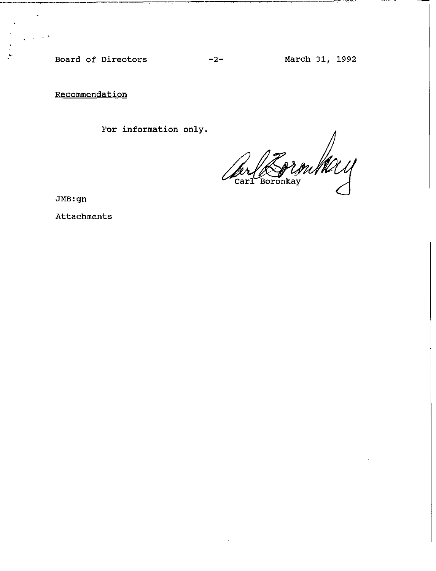**Board of Directors -2- March 31, 1992** 

**Recommendation** 

----\_ 111-11-

c

. -'

**For information only.** 

Form May Carl Boronkay

**JMB:gn** 

**Attachments**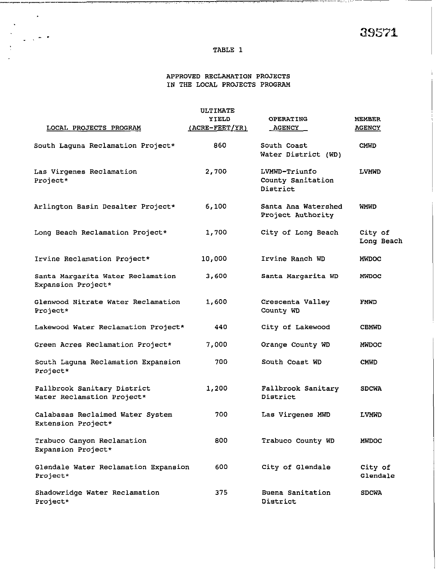$\cdot$ 

### **TABLE 1**

 $\frac{1}{2}$  ,  $\frac{1}{2}$ 

 $\sim 10^{-10}$ 

 $\sim$  $\frac{1}{2}$  $\mathcal{L}$ 

 $\sim$   $\sim$ 

# **APPROVED RECLAMATION PROJECTS IN THE LOCAL PROJECTS PROGRAM**

|                                                           | ULTIMATE                             |                                                |                         |  |  |
|-----------------------------------------------------------|--------------------------------------|------------------------------------------------|-------------------------|--|--|
| LOCAL PROJECTS PROGRAM                                    | <b>XIELD</b><br>$(ACRE - FEET / YR)$ | <b>OPERATING</b><br><b>AGENCY</b>              | MEMBER<br><b>AGENCY</b> |  |  |
| South Laquna Reclamation Project*                         | 860                                  | South Coast<br>Water District (WD)             | <b>CMWD</b>             |  |  |
| Las Virgenes Reclamation<br>Project*                      | 2,700                                | LVMWD-Triunfo<br>County Sanitation<br>District | <b>LVMWD</b>            |  |  |
| Arlington Basin Desalter Project*                         | 6,100                                | Santa Ana Watershed<br>Project Authority       | WMWD                    |  |  |
| Long Beach Reclamation Project*                           | 1,700                                | City of Long Beach                             | City of<br>Long Beach   |  |  |
| Irvine Reclamation Project*                               | 10,000                               | Irvine Ranch WD                                | <b>MWDOC</b>            |  |  |
| Santa Margarita Water Reclamation<br>Expansion Project*   | 3,600                                | Santa Margarita WD                             | <b>MWDOC</b>            |  |  |
| Glenwood Nitrate Water Reclamation<br>Project*            | 1,600                                | Crescenta Valley<br>County WD                  | FMWD                    |  |  |
| Lakewood Water Reclamation Project*                       | 440                                  | City of Lakewood                               | <b>CBMWD</b>            |  |  |
| Green Acres Reclamation Project*                          | 7,000                                | Orange County WD                               | <b>MMDOC</b>            |  |  |
| South Laguna Reclamation Expansion<br>Project*            | 700.                                 | South Coast WD                                 | <b>CMWD</b>             |  |  |
| Fallbrook Sanitary District<br>Water Reclamation Project* | 1,200                                | Fallbrook Sanitary<br>District                 | <b>SDCWA</b>            |  |  |
| Calabasas Reclaimed Water System<br>Extension Project*    | 700                                  | Las Virgenes MWD                               | <b>LVMWD</b>            |  |  |
| Trabuco Canyon Reclamation<br>Expansion Project*          | 800                                  | Trabuco County WD                              | <b>MWDOC</b>            |  |  |
| Glendale Water Reclamation Expansion<br>Project*          | 600                                  | City of Glendale                               | City of<br>Glendale     |  |  |
| Shadowridge Water Reclamation<br>Project*                 | 375                                  | Buena Sanitation<br>District                   | <b>SDCWA</b>            |  |  |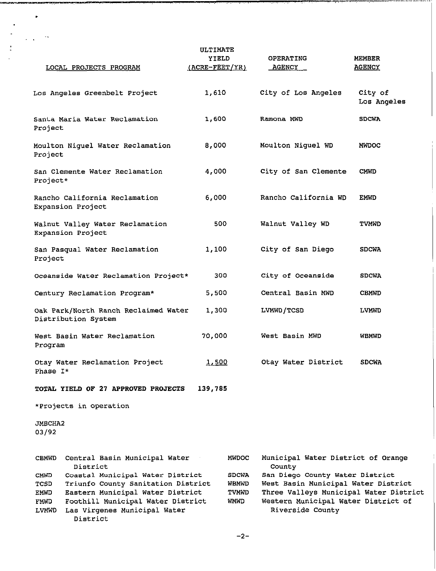|                                              | LOCAL PROJECTS PROGRAM                                                                                                                                                                      | <b>ULTIMATE</b><br>YIELD<br><u>(ACRE-FEET/YR)</u>    | <b>OPERATING</b><br><b>AGENCY</b>                                                                                                                                           | MEMBER<br><b>AGENCY</b> |
|----------------------------------------------|---------------------------------------------------------------------------------------------------------------------------------------------------------------------------------------------|------------------------------------------------------|-----------------------------------------------------------------------------------------------------------------------------------------------------------------------------|-------------------------|
|                                              | Los Angeles Greenbelt Project                                                                                                                                                               | 1,610                                                | City of Los Angeles                                                                                                                                                         | City of<br>Los Angeles  |
| Project                                      | Santa Maria Water Reclamation                                                                                                                                                               | 1,600                                                | Ramona NWD                                                                                                                                                                  | <b>SDCWA</b>            |
| Project                                      | Moulton Niguel Water Reclamation                                                                                                                                                            | 8,000                                                | Moulton Niguel WD                                                                                                                                                           | <b>MWDOC</b>            |
| Project*                                     | San Clemente Water Reclamation                                                                                                                                                              | 4,000                                                | City of San Clemente                                                                                                                                                        | <b>CMWD</b>             |
|                                              | Rancho California Reclamation<br>Expansion Project                                                                                                                                          |                                                      | Rancho California WD                                                                                                                                                        | EMVD                    |
|                                              | Walnut Valley Water Reclamation<br>Expansion Project                                                                                                                                        | 500                                                  | Walnut Valley WD                                                                                                                                                            | <b>TVMWD</b>            |
| Project                                      | San Pasqual Water Reclamation                                                                                                                                                               | 1,100                                                | City of San Diego                                                                                                                                                           | <b>SDCWA</b>            |
|                                              | Oceanside Water Reclamation Project*                                                                                                                                                        | 300                                                  | City of Oceanside                                                                                                                                                           | <b>SDCWA</b>            |
|                                              | Century Reclamation Program*                                                                                                                                                                | 5,500                                                | Central Basin MWD                                                                                                                                                           | <b>CBMWD</b>            |
|                                              | Oak Park/North Ranch Reclaimed Water<br>Distribution System                                                                                                                                 | 1,300                                                | LVMWD/TCSD                                                                                                                                                                  | <b>LAWMD</b>            |
| Program                                      | West Basin Water Reclamation                                                                                                                                                                | 70,000                                               | West Basin MWD                                                                                                                                                              | WBMWD                   |
| Phase I*                                     | Otay Water Reclamation Project                                                                                                                                                              | 1,500                                                | Otay Water District                                                                                                                                                         | <b>SDCWA</b>            |
|                                              | TOTAL YIELD OF 27 APPROVED PROJECTS                                                                                                                                                         | 139,785                                              |                                                                                                                                                                             |                         |
|                                              | *Projects in operation                                                                                                                                                                      |                                                      |                                                                                                                                                                             |                         |
| JMBCHA2<br>03/92                             |                                                                                                                                                                                             |                                                      |                                                                                                                                                                             |                         |
| <b>CBMWD</b>                                 | Central Basin Municipal Water<br>District                                                                                                                                                   | <b>MVDOC</b>                                         | Municipal Water District of Orange<br>County                                                                                                                                |                         |
| CMWD<br>TCSD<br>EMWD<br>FMWD<br><b>LVMWD</b> | Coastal Municipal Water District<br>Triunfo County Sanitation District<br>Eastern Municipal Water District<br>Foothill Municipal Water District<br>Las Virgenes Municipal Water<br>District | <b>SDCWA</b><br><b>WBMWD</b><br><b>TVMWD</b><br>WMWD | San Diego County Water District<br>West Basin Municipal Water District<br>Three Valleys Municipal Water District<br>Western Municipal Water District of<br>Riverside County |                         |

 $\bullet$ 

 $\frac{1}{2} \frac{1}{2} \frac{1}{2} \frac{d^2}{dt^2}$ 

l,  $\ddot{\phantom{0}}$ 

 $\frac{1}{2}$ 

 $-2-$